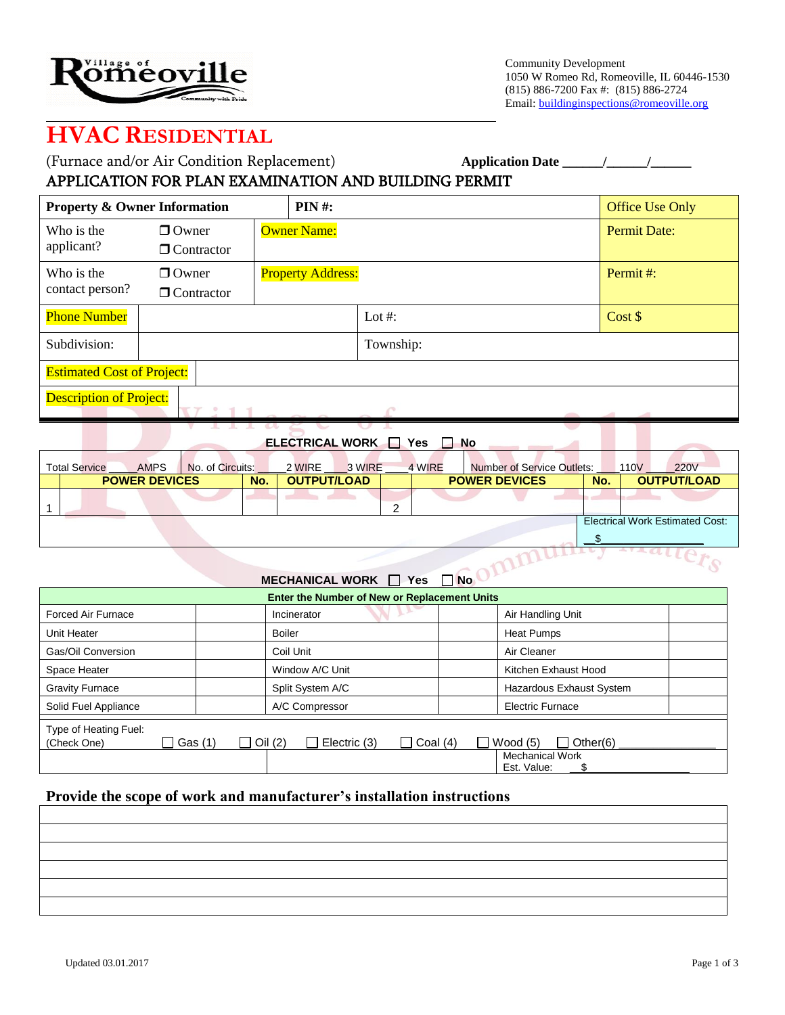

Community Development 1050 W Romeo Rd, Romeoville, IL 60446-1530 (815) 886-7200 Fax #: (815) 886-2724 Email: buildinginspections@romeoville.org

z.

## **HVAC RESIDENTIAL**

| (Furnace and/or Air Condition Replacement)           | <b>Application Date</b> |
|------------------------------------------------------|-------------------------|
| APPLICATION FOR PLAN EXAMINATION AND BUILDING PERMIT |                         |

| $PIN#$ :<br><b>Property &amp; Owner Information</b> |                                                  |                    |                          |                     |  | <b>Office Use Only</b> |
|-----------------------------------------------------|--------------------------------------------------|--------------------|--------------------------|---------------------|--|------------------------|
| Who is the<br>applicant?                            | $\Box$ Owner<br>$\Box$ Contractor                | <b>Owner Name:</b> |                          | <b>Permit Date:</b> |  |                        |
| Who is the<br>contact person?                       | $\Box$ Owner<br>$\Box$ Contractor                |                    | <b>Property Address:</b> |                     |  | Permit#:               |
| <b>Phone Number</b>                                 |                                                  |                    |                          | Lot #:              |  | Cost \$                |
| Subdivision:                                        |                                                  |                    |                          | Township:           |  |                        |
|                                                     | <b>Estimated Cost of Project:</b>                |                    |                          |                     |  |                        |
|                                                     | <b>Description of Project:</b><br><b>Service</b> |                    |                          |                     |  |                        |

**ELECTRICAL WORK WORK IN YES IN NO.** 

| <b>Total Service</b> | <b>AMPS</b>          | No. of Circuits: |     | 2 WIRE             | 3 WIRE |        | 4 WIRE | <b>Number of Service Outlets:</b> |     | 110V | <b>220V</b>                            |
|----------------------|----------------------|------------------|-----|--------------------|--------|--------|--------|-----------------------------------|-----|------|----------------------------------------|
|                      | <b>POWER DEVICES</b> |                  | No. | <b>OUTPUT/LOAD</b> |        |        |        | <b>POWER DEVICES</b>              | No. |      | <b>OUTPUT/LOAD</b>                     |
|                      |                      |                  |     |                    |        | C<br>ے |        |                                   |     |      |                                        |
|                      |                      |                  |     |                    |        |        |        |                                   |     |      | <b>Electrical Work Estimated Cost:</b> |
|                      |                      |                  |     |                    |        |        |        |                                   |     |      |                                        |

## **MECHANICAL WORK**  $\Box$  **Yes**  $\Box$  **No**

|                                      |                     | Enter the Number of New or Replacement Units |                                                                        |
|--------------------------------------|---------------------|----------------------------------------------|------------------------------------------------------------------------|
| Forced Air Furnace                   |                     | Incinerator                                  | Air Handling Unit                                                      |
| Unit Heater                          |                     | <b>Boiler</b>                                | <b>Heat Pumps</b>                                                      |
| Gas/Oil Conversion                   |                     | Coil Unit                                    | Air Cleaner                                                            |
| Space Heater                         |                     | Window A/C Unit                              | Kitchen Exhaust Hood                                                   |
| <b>Gravity Furnace</b>               |                     | Split System A/C                             | Hazardous Exhaust System                                               |
| Solid Fuel Appliance                 |                     | A/C Compressor                               | <b>Electric Furnace</b>                                                |
| Type of Heating Fuel:<br>(Check One) | _l Gas (1)<br>$+11$ | Oil (2)<br>Electric (3)<br>Coal $(4)$        | $\Box$ Other(6)<br>Wood $(5)$<br><b>Mechanical Work</b><br>Est. Value: |

## **Provide the scope of work and manufacturer's installation instructions**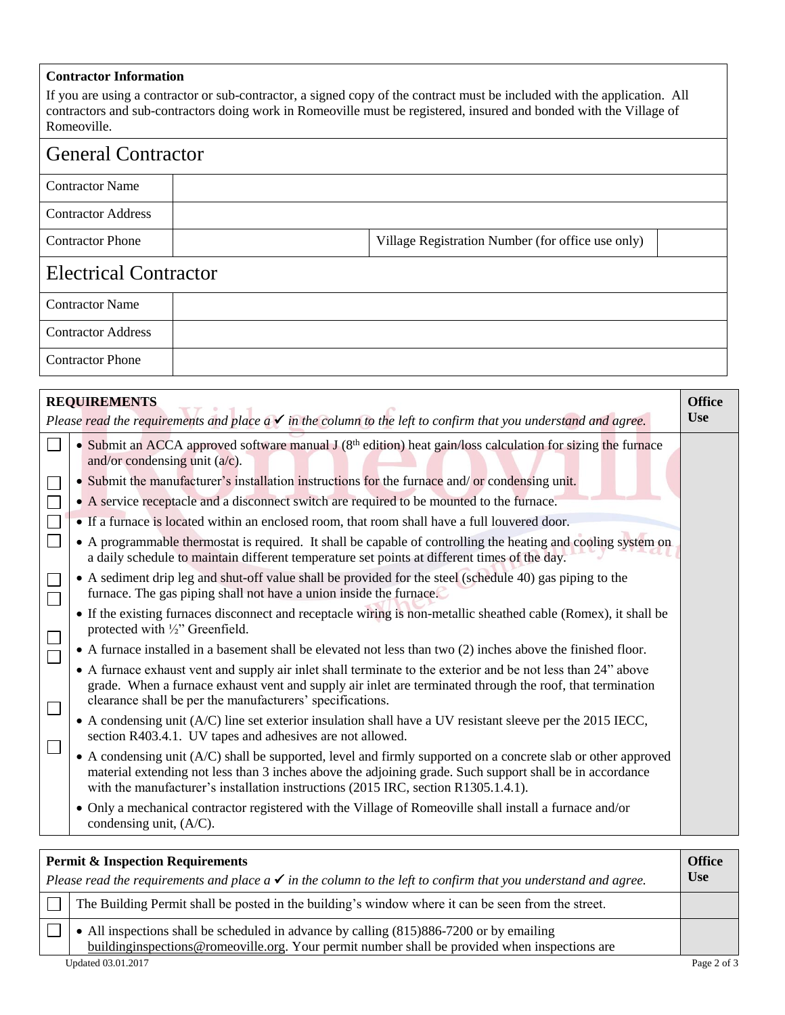## **Contractor Information**

If you are using a contractor or sub-contractor, a signed copy of the contract must be included with the application. All contractors and sub-contractors doing work in Romeoville must be registered, insured and bonded with the Village of Romeoville.

| <b>General Contractor</b>    |  |                                                   |  |  |  |
|------------------------------|--|---------------------------------------------------|--|--|--|
| <b>Contractor Name</b>       |  |                                                   |  |  |  |
| <b>Contractor Address</b>    |  |                                                   |  |  |  |
| <b>Contractor Phone</b>      |  | Village Registration Number (for office use only) |  |  |  |
| <b>Electrical Contractor</b> |  |                                                   |  |  |  |
| <b>Contractor Name</b>       |  |                                                   |  |  |  |
| <b>Contractor Address</b>    |  |                                                   |  |  |  |
| <b>Contractor Phone</b>      |  |                                                   |  |  |  |

|  | <b>REQUIREMENTS</b>                                                                                                                                                                                                                                                                                             | <b>Office</b> |
|--|-----------------------------------------------------------------------------------------------------------------------------------------------------------------------------------------------------------------------------------------------------------------------------------------------------------------|---------------|
|  | Please read the requirements and place $a \checkmark$ in the column to the left to confirm that you understand and agree.                                                                                                                                                                                       | <b>Use</b>    |
|  | • Submit an ACCA approved software manual $J(8th$ edition) heat gain/loss calculation for sizing the furnace<br>and/or condensing unit $(a/c)$ .                                                                                                                                                                |               |
|  | • Submit the manufacturer's installation instructions for the furnace and/ or condensing unit.                                                                                                                                                                                                                  |               |
|  | • A service receptacle and a disconnect switch are required to be mounted to the furnace.                                                                                                                                                                                                                       |               |
|  | • If a furnace is located within an enclosed room, that room shall have a full louvered door.                                                                                                                                                                                                                   |               |
|  | • A programmable thermostat is required. It shall be capable of controlling the heating and cooling system on<br>a daily schedule to maintain different temperature set points at different times of the day.                                                                                                   |               |
|  | • A sediment drip leg and shut-off value shall be provided for the steel (schedule 40) gas piping to the<br>furnace. The gas piping shall not have a union inside the furnace.                                                                                                                                  |               |
|  | • If the existing furnaces disconnect and receptacle wiring is non-metallic sheathed cable (Romex), it shall be<br>protected with 1/2" Greenfield.                                                                                                                                                              |               |
|  | • A furnace installed in a basement shall be elevated not less than two (2) inches above the finished floor.                                                                                                                                                                                                    |               |
|  | • A furnace exhaust vent and supply air inlet shall terminate to the exterior and be not less than 24" above<br>grade. When a furnace exhaust vent and supply air inlet are terminated through the roof, that termination<br>clearance shall be per the manufacturers' specifications.                          |               |
|  | • A condensing unit (A/C) line set exterior insulation shall have a UV resistant sleeve per the 2015 IECC,<br>section R403.4.1. UV tapes and adhesives are not allowed.                                                                                                                                         |               |
|  | • A condensing unit (A/C) shall be supported, level and firmly supported on a concrete slab or other approved<br>material extending not less than 3 inches above the adjoining grade. Such support shall be in accordance<br>with the manufacturer's installation instructions (2015 IRC, section R1305.1.4.1). |               |
|  | • Only a mechanical contractor registered with the Village of Romeoville shall install a furnace and/or<br>condensing unit, (A/C).                                                                                                                                                                              |               |

| <b>Permit &amp; Inspection Requirements</b><br>Please read the requirements and place $a \checkmark$ in the column to the left to confirm that you understand and agree.                 | <b>Office</b><br><b>Use</b> |
|------------------------------------------------------------------------------------------------------------------------------------------------------------------------------------------|-----------------------------|
| The Building Permit shall be posted in the building's window where it can be seen from the street.                                                                                       |                             |
| • All inspections shall be scheduled in advance by calling (815)886-7200 or by emailing<br>buildinginspections@romeoville.org. Your permit number shall be provided when inspections are |                             |
| Updated 03.01.2017                                                                                                                                                                       | Page 2 of 3                 |